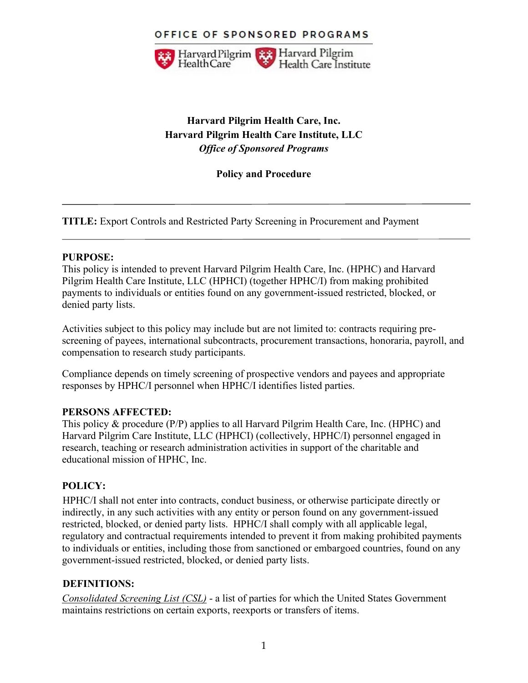### OFFICE OF SPONSORED PROGRAMS



# **Harvard Pilgrim Health Care, Inc. Harvard Pilgrim Health Care Institute, LLC** *Office of Sponsored Programs*

### **Policy and Procedure**

**TITLE:** Export Controls and Restricted Party Screening in Procurement and Payment

#### **PURPOSE:**

This policy is intended to prevent Harvard Pilgrim Health Care, Inc. (HPHC) and Harvard Pilgrim Health Care Institute, LLC (HPHCI) (together HPHC/I) from making prohibited payments to individuals or entities found on any government-issued restricted, blocked, or denied party lists.

Activities subject to this policy may include but are not limited to: contracts requiring prescreening of payees, international subcontracts, procurement transactions, honoraria, payroll, and compensation to research study participants.

Compliance depends on timely screening of prospective vendors and payees and appropriate responses by HPHC/I personnel when HPHC/I identifies listed parties.

#### **PERSONS AFFECTED:**

This policy & procedure (P/P) applies to all Harvard Pilgrim Health Care, Inc. (HPHC) and Harvard Pilgrim Care Institute, LLC (HPHCI) (collectively, HPHC/I) personnel engaged in research, teaching or research administration activities in support of the charitable and educational mission of HPHC, Inc.

## **POLICY:**

HPHC/I shall not enter into contracts, conduct business, or otherwise participate directly or indirectly, in any such activities with any entity or person found on any government-issued restricted, blocked, or denied party lists. HPHC/I shall comply with all applicable legal, regulatory and contractual requirements intended to prevent it from making prohibited payments to individuals or entities, including those from sanctioned or embargoed countries, found on any government-issued restricted, blocked, or denied party lists.

#### **DEFINITIONS:**

*Consolidated Screening List (CSL)* - a list of parties for which the United States Government maintains restrictions on certain exports, reexports or transfers of items.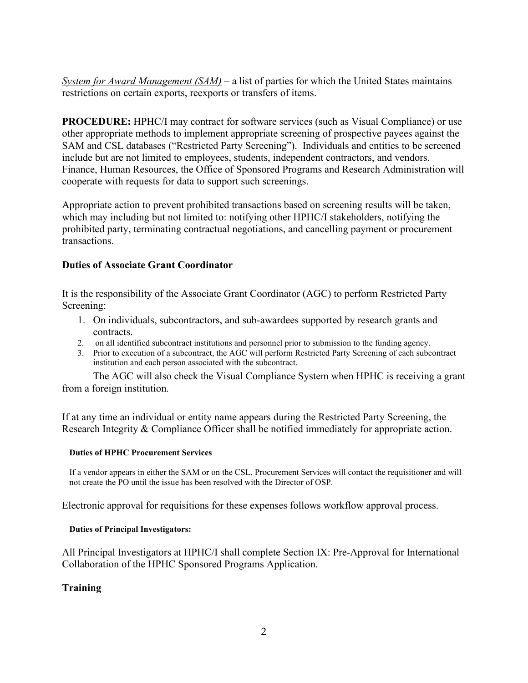*System for Award Management (SAM)* – a list of parties for which the United States maintains restrictions on certain exports, reexports or transfers of items.

**PROCEDURE:** HPHC/I may contract for software services (such as Visual Compliance) or use other appropriate methods to implement appropriate screening of prospective payees against the SAM and CSL databases ("Restricted Party Screening"). Individuals and entities to be screened include but are not limited to employees, students, independent contractors, and vendors. Finance, Human Resources, the Office of Sponsored Programs and Research Administration will cooperate with requests for data to support such screenings.

Appropriate action to prevent prohibited transactions based on screening results will be taken, which may including but not limited to: notifying other HPHC/I stakeholders, notifying the prohibited party, terminating contractual negotiations, and cancelling payment or procurement transactions.

### **Duties of Associate Grant Coordinator**

It is the responsibility of the Associate Grant Coordinator (AGC) to perform Restricted Party Screening:

- 1. On individuals, subcontractors, and sub-awardees supported by research grants and contracts.
- 2. on all identified subcontract institutions and personnel prior to submission to the funding agency.
- 3. Prior to execution of a subcontract, the AGC will perform Restricted Party Screening of each subcontract institution and each person associated with the subcontract.

 The AGC will also check the Visual Compliance System when HPHC is receiving a grant from a foreign institution.

If at any time an individual or entity name appears during the Restricted Party Screening, the Research Integrity & Compliance Officer shall be notified immediately for appropriate action.

#### **Duties of HPHC Procurement Services**

If a vendor appears in either the SAM or on the CSL, Procurement Services will contact the requisitioner and will not create the PO until the issue has been resolved with the Director of OSP.

Electronic approval for requisitions for these expenses follows workflow approval process.

#### **Duties of Principal Investigators:**

All Principal Investigators at HPHC/I shall complete Section IX: Pre-Approval for International Collaboration of the HPHC Sponsored Programs Application.

## **Training**